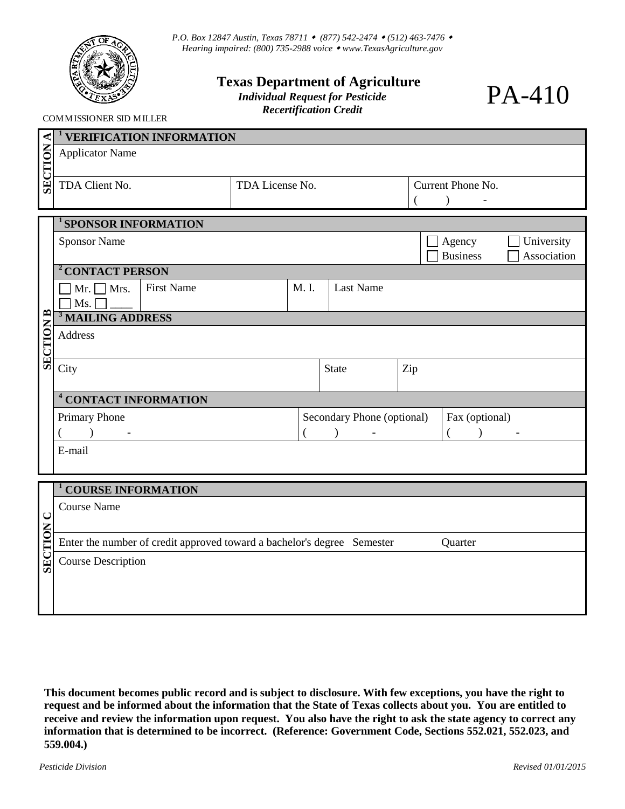

*P.O. Box 12847 Austin, Texas 78711 (877) 542-2474 (512) 463-7476 Hearing impaired: (800) 735-2988 voice [www.TexasAgriculture.gov](http://www.agr.state.tx.us/)* 

## **Texas Department of Agriculture** *Individual Request for Pesticide*

*Recertification Credit* 

PA-410

COMMISSIONER SID MILLER

|                  | <b>VERIFICATION INFORMATION</b>                                                                                                                     |                            |                     |                  |                |                                               |  |  |  |
|------------------|-----------------------------------------------------------------------------------------------------------------------------------------------------|----------------------------|---------------------|------------------|----------------|-----------------------------------------------|--|--|--|
| <b>SECTION</b>   | <b>Applicator Name</b>                                                                                                                              |                            |                     |                  |                |                                               |  |  |  |
|                  | TDA Client No.<br>TDA License No.                                                                                                                   |                            |                     |                  |                | Current Phone No.<br>$\overline{\phantom{a}}$ |  |  |  |
|                  |                                                                                                                                                     |                            |                     |                  |                |                                               |  |  |  |
|                  | <sup>1</sup> SPONSOR INFORMATION                                                                                                                    |                            |                     |                  |                |                                               |  |  |  |
|                  | <b>Sponsor Name</b><br>Agency<br>University<br><b>Business</b><br>Association                                                                       |                            |                     |                  |                |                                               |  |  |  |
|                  | <sup>2</sup> CONTACT PERSON                                                                                                                         |                            |                     |                  |                |                                               |  |  |  |
|                  | <b>First Name</b><br>Mr. $\Box$ Mrs.<br>M. I.                                                                                                       |                            |                     | <b>Last Name</b> |                |                                               |  |  |  |
|                  | $\fbox{$\displaystyle\bigcup$} \mathbf{Ms.} \fbox{$\displaystyle\bigcup$} \fbox{$\displaystyle\bigcup$} \fbox{$\displaystyle\bigcup$} \mathbf{Ms.}$ |                            |                     |                  |                |                                               |  |  |  |
| <b>SECTION B</b> | <b>Address</b>                                                                                                                                      |                            |                     |                  |                |                                               |  |  |  |
|                  |                                                                                                                                                     |                            |                     |                  |                |                                               |  |  |  |
|                  | City                                                                                                                                                |                            | Zip<br><b>State</b> |                  |                |                                               |  |  |  |
|                  | <sup>4</sup> CONTACT INFORMATION                                                                                                                    |                            |                     |                  |                |                                               |  |  |  |
|                  | Primary Phone                                                                                                                                       | Secondary Phone (optional) |                     |                  | Fax (optional) |                                               |  |  |  |
|                  | $\lambda$                                                                                                                                           |                            |                     |                  | $\left($       |                                               |  |  |  |
|                  | E-mail                                                                                                                                              |                            |                     |                  |                |                                               |  |  |  |
|                  |                                                                                                                                                     |                            |                     |                  |                |                                               |  |  |  |
|                  | <b>COURSE INFORMATION</b>                                                                                                                           |                            |                     |                  |                |                                               |  |  |  |
|                  |                                                                                                                                                     |                            |                     |                  |                |                                               |  |  |  |
| $\cup$           | <b>Course Name</b>                                                                                                                                  |                            |                     |                  |                |                                               |  |  |  |
|                  |                                                                                                                                                     |                            |                     |                  |                |                                               |  |  |  |
| <b>SECTION</b>   | Enter the number of credit approved toward a bachelor's degree Semester<br>Quarter                                                                  |                            |                     |                  |                |                                               |  |  |  |
|                  | <b>Course Description</b>                                                                                                                           |                            |                     |                  |                |                                               |  |  |  |
|                  |                                                                                                                                                     |                            |                     |                  |                |                                               |  |  |  |
|                  |                                                                                                                                                     |                            |                     |                  |                |                                               |  |  |  |
|                  |                                                                                                                                                     |                            |                     |                  |                |                                               |  |  |  |

**This document becomes public record and is subject to disclosure. With few exceptions, you have the right to request and be informed about the information that the State of Texas collects about you. You are entitled to receive and review the information upon request. You also have the right to ask the state agency to correct any information that is determined to be incorrect. (Reference: Government Code, Sections 552.021, 552.023, and 559.004.)**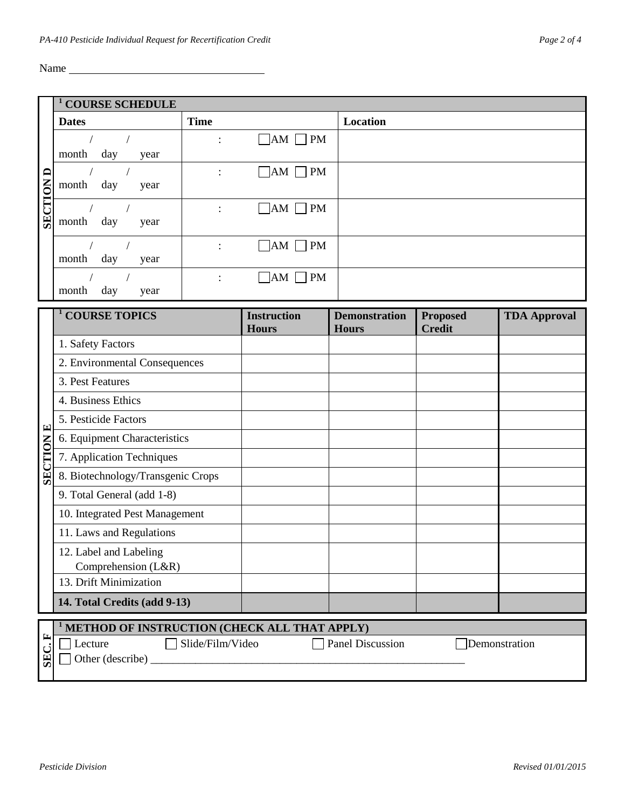Name

|                  | <b>COURSE SCHEDULE</b>                                                  |                                              |                                    |                                      |                                  |                     |  |  |  |
|------------------|-------------------------------------------------------------------------|----------------------------------------------|------------------------------------|--------------------------------------|----------------------------------|---------------------|--|--|--|
| <b>SECTION D</b> | <b>Dates</b>                                                            | <b>Time</b>                                  |                                    | Location                             |                                  |                     |  |  |  |
|                  | $\sqrt{2}$<br>month<br>day<br>year                                      |                                              | $\neg$ AM $\neg$ PM                |                                      |                                  |                     |  |  |  |
|                  | $\sqrt{2}$<br>month<br>day<br>year                                      | $\ddot{\cdot}$                               | $\Box$ AM $\Box$ PM                |                                      |                                  |                     |  |  |  |
|                  | $\sqrt{2}$<br>$\sqrt{2}$<br>month<br>day<br>year                        | $\ddot{\cdot}$                               | $\Box$ AM $\Box$ PM                |                                      |                                  |                     |  |  |  |
|                  | $\sqrt{2}$<br>$\frac{1}{2}$<br>month<br>day<br>year                     | $\ddot{\cdot}$                               | $\Box$ AM<br>$\neg$ PM             |                                      |                                  |                     |  |  |  |
|                  | day<br>month<br>year                                                    |                                              | $\Box$ AM $\Box$ PM                |                                      |                                  |                     |  |  |  |
|                  | <sup>1</sup> COURSE TOPICS                                              |                                              | <b>Instruction</b><br><b>Hours</b> | <b>Demonstration</b><br><b>Hours</b> | <b>Proposed</b><br><b>Credit</b> | <b>TDA Approval</b> |  |  |  |
|                  | 1. Safety Factors                                                       |                                              |                                    |                                      |                                  |                     |  |  |  |
|                  | 2. Environmental Consequences                                           |                                              |                                    |                                      |                                  |                     |  |  |  |
|                  | 3. Pest Features                                                        |                                              |                                    |                                      |                                  |                     |  |  |  |
|                  | 4. Business Ethics                                                      |                                              |                                    |                                      |                                  |                     |  |  |  |
|                  | 5. Pesticide Factors                                                    |                                              |                                    |                                      |                                  |                     |  |  |  |
|                  | 6. Equipment Characteristics                                            |                                              |                                    |                                      |                                  |                     |  |  |  |
|                  | 7. Application Techniques                                               |                                              |                                    |                                      |                                  |                     |  |  |  |
| <b>SECTION E</b> | 8. Biotechnology/Transgenic Crops                                       |                                              |                                    |                                      |                                  |                     |  |  |  |
|                  | 9. Total General (add 1-8)                                              |                                              |                                    |                                      |                                  |                     |  |  |  |
|                  | 10. Integrated Pest Management                                          |                                              |                                    |                                      |                                  |                     |  |  |  |
|                  | 11. Laws and Regulations                                                |                                              |                                    |                                      |                                  |                     |  |  |  |
|                  | 12. Label and Labeling                                                  |                                              |                                    |                                      |                                  |                     |  |  |  |
|                  | Comprehension (L&R)                                                     |                                              |                                    |                                      |                                  |                     |  |  |  |
|                  | 13. Drift Minimization                                                  |                                              |                                    |                                      |                                  |                     |  |  |  |
|                  | 14. Total Credits (add 9-13)                                            |                                              |                                    |                                      |                                  |                     |  |  |  |
|                  |                                                                         | METHOD OF INSTRUCTION (CHECK ALL THAT APPLY) |                                    |                                      |                                  |                     |  |  |  |
| SEC.F            | Slide/Film/Video<br><b>Panel Discussion</b><br>Demonstration<br>Lecture |                                              |                                    |                                      |                                  |                     |  |  |  |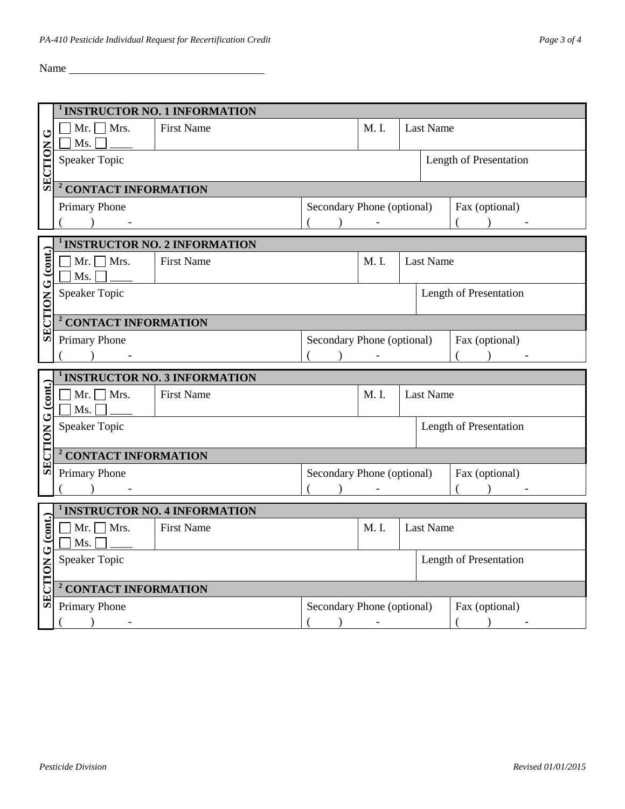Name

|                   | <b>INSTRUCTOR NO. 1 INFORMATION</b>                                                                                                                                                                                                                                                                                                   |                                              |                                                                   |                                              |                        |                  |                        |  |  |
|-------------------|---------------------------------------------------------------------------------------------------------------------------------------------------------------------------------------------------------------------------------------------------------------------------------------------------------------------------------------|----------------------------------------------|-------------------------------------------------------------------|----------------------------------------------|------------------------|------------------|------------------------|--|--|
| ڻ                 | $Mr.$ Mrs.                                                                                                                                                                                                                                                                                                                            | <b>First Name</b>                            |                                                                   |                                              |                        | <b>Last Name</b> |                        |  |  |
|                   |                                                                                                                                                                                                                                                                                                                                       |                                              |                                                                   |                                              |                        |                  |                        |  |  |
| SECTION           | <b>Speaker Topic</b>                                                                                                                                                                                                                                                                                                                  |                                              |                                                                   |                                              |                        |                  | Length of Presentation |  |  |
|                   |                                                                                                                                                                                                                                                                                                                                       |                                              |                                                                   |                                              |                        |                  |                        |  |  |
|                   | <sup>2</sup> CONTACT INFORMATION                                                                                                                                                                                                                                                                                                      |                                              |                                                                   |                                              |                        |                  |                        |  |  |
|                   | Primary Phone                                                                                                                                                                                                                                                                                                                         | Secondary Phone (optional)<br>Fax (optional) |                                                                   |                                              |                        |                  |                        |  |  |
|                   | $\overline{\phantom{a}}$ ) $\overline{\phantom{a}}$                                                                                                                                                                                                                                                                                   |                                              | $($ ) - $-$                                                       |                                              |                        |                  | $($ ) $-$              |  |  |
|                   |                                                                                                                                                                                                                                                                                                                                       | <b>INSTRUCTOR NO. 2 INFORMATION</b>          |                                                                   |                                              |                        |                  |                        |  |  |
|                   | $\Box$ Mr. $\Box$ Mrs.<br><b>First Name</b>                                                                                                                                                                                                                                                                                           |                                              |                                                                   | M. I.<br><b>Last Name</b>                    |                        |                  |                        |  |  |
|                   | Ms.                                                                                                                                                                                                                                                                                                                                   |                                              |                                                                   |                                              |                        |                  |                        |  |  |
| SECTION G (cont.) | <b>Speaker Topic</b>                                                                                                                                                                                                                                                                                                                  |                                              |                                                                   |                                              | Length of Presentation |                  |                        |  |  |
|                   |                                                                                                                                                                                                                                                                                                                                       |                                              |                                                                   |                                              |                        |                  |                        |  |  |
|                   | <sup>2</sup> CONTACT INFORMATION                                                                                                                                                                                                                                                                                                      |                                              |                                                                   |                                              |                        |                  |                        |  |  |
|                   | Primary Phone                                                                                                                                                                                                                                                                                                                         |                                              |                                                                   | Secondary Phone (optional)<br>Fax (optional) |                        |                  |                        |  |  |
|                   | $\overline{\phantom{a}}$ ) $\overline{\phantom{a}}$                                                                                                                                                                                                                                                                                   | $($ $)$                                      | $(+) \qquad \qquad -$<br>$\frac{1}{2}$ . The set of $\frac{1}{2}$ |                                              |                        |                  |                        |  |  |
|                   | <sup>1</sup> INSTRUCTOR NO. 3 INFORMATION                                                                                                                                                                                                                                                                                             |                                              |                                                                   |                                              |                        |                  |                        |  |  |
|                   |                                                                                                                                                                                                                                                                                                                                       |                                              |                                                                   |                                              |                        |                  |                        |  |  |
|                   | $\Box$ Mr. $\Box$ Mrs.                                                                                                                                                                                                                                                                                                                | <b>First Name</b>                            |                                                                   | M. I.                                        |                        | <b>Last Name</b> |                        |  |  |
|                   | Ms.                                                                                                                                                                                                                                                                                                                                   |                                              |                                                                   |                                              |                        |                  |                        |  |  |
|                   | <b>Speaker Topic</b>                                                                                                                                                                                                                                                                                                                  |                                              |                                                                   |                                              |                        |                  | Length of Presentation |  |  |
|                   |                                                                                                                                                                                                                                                                                                                                       |                                              |                                                                   |                                              |                        |                  |                        |  |  |
|                   | <sup>2</sup> CONTACT INFORMATION                                                                                                                                                                                                                                                                                                      |                                              |                                                                   |                                              |                        |                  |                        |  |  |
| SECTION G (cont.) | <b>Primary Phone</b>                                                                                                                                                                                                                                                                                                                  |                                              | Secondary Phone (optional)                                        |                                              |                        |                  | Fax (optional)         |  |  |
|                   | $\left( \begin{array}{cc} 0 & 0 & 0 \\ 0 & 0 & 0 \\ 0 & 0 & 0 \\ 0 & 0 & 0 \\ 0 & 0 & 0 \\ 0 & 0 & 0 \\ 0 & 0 & 0 \\ 0 & 0 & 0 \\ 0 & 0 & 0 \\ 0 & 0 & 0 \\ 0 & 0 & 0 \\ 0 & 0 & 0 & 0 \\ 0 & 0 & 0 & 0 \\ 0 & 0 & 0 & 0 \\ 0 & 0 & 0 & 0 & 0 \\ 0 & 0 & 0 & 0 & 0 \\ 0 & 0 & 0 & 0 & 0 \\ 0 & 0 & 0 & 0 & 0 \\ 0 & 0 & 0 & 0 & 0 \\$ |                                              | $($ ) -                                                           |                                              |                        |                  | $($ ) $-$              |  |  |
|                   |                                                                                                                                                                                                                                                                                                                                       | <sup>1</sup> INSTRUCTOR NO. 4 INFORMATION    |                                                                   |                                              |                        |                  |                        |  |  |
|                   | $\Box$ Mr. $\Box$ Mrs.                                                                                                                                                                                                                                                                                                                | <b>First Name</b>                            |                                                                   | M. I.                                        |                        | <b>Last Name</b> |                        |  |  |
|                   | Ms.                                                                                                                                                                                                                                                                                                                                   |                                              |                                                                   |                                              |                        |                  |                        |  |  |
|                   | <b>Speaker Topic</b>                                                                                                                                                                                                                                                                                                                  |                                              |                                                                   |                                              |                        |                  | Length of Presentation |  |  |
|                   |                                                                                                                                                                                                                                                                                                                                       |                                              |                                                                   |                                              |                        |                  |                        |  |  |
|                   | <sup>2</sup> CONTACT INFORMATION                                                                                                                                                                                                                                                                                                      |                                              |                                                                   |                                              |                        |                  |                        |  |  |
| SECTION G (cont.) | <b>Primary Phone</b><br>$\lambda$                                                                                                                                                                                                                                                                                                     |                                              | Secondary Phone (optional)<br>$\lambda$                           | $\overline{\phantom{a}}$                     |                        |                  | Fax (optional)         |  |  |